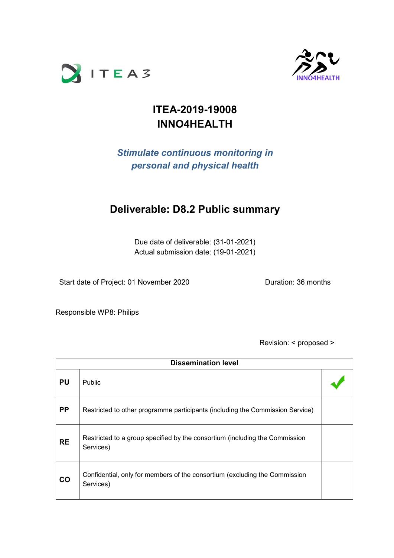



# **ITEA-2019-19008 INNO4HEALTH**

## *Stimulate continuous monitoring in personal and physical health*

## **Deliverable: D8.2 Public summary**

Due date of deliverable: (31-01-2021) Actual submission date: (19-01-2021)

Start date of Project: 01 November 2020 Duration: 36 months

Responsible WP8: Philips

Revision: < proposed >

| <b>Dissemination level</b> |                                                                                          |  |  |
|----------------------------|------------------------------------------------------------------------------------------|--|--|
| <b>PU</b>                  | <b>Public</b>                                                                            |  |  |
| <b>PP</b>                  | Restricted to other programme participants (including the Commission Service)            |  |  |
| <b>RE</b>                  | Restricted to a group specified by the consortium (including the Commission<br>Services) |  |  |
| <b>CO</b>                  | Confidential, only for members of the consortium (excluding the Commission<br>Services)  |  |  |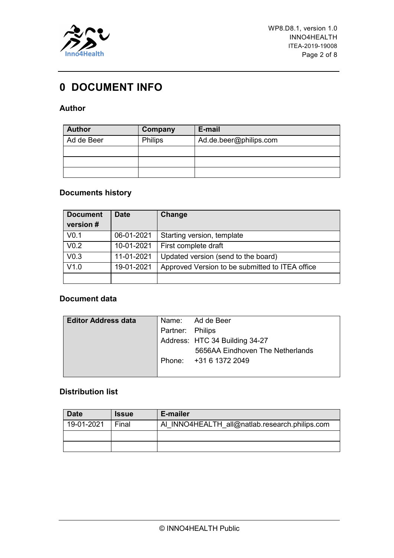

## <span id="page-1-0"></span>**0 DOCUMENT INFO**

### **Author**

| <b>Author</b> | Company        | E-mail                 |
|---------------|----------------|------------------------|
| Ad de Beer    | <b>Philips</b> | Ad.de.beer@philips.com |
|               |                |                        |
|               |                |                        |
|               |                |                        |

### **Documents history**

| <b>Document</b>  | <b>Date</b> | Change                                          |
|------------------|-------------|-------------------------------------------------|
| version #        |             |                                                 |
| V <sub>0.1</sub> | 06-01-2021  | Starting version, template                      |
| V <sub>0.2</sub> | 10-01-2021  | First complete draft                            |
| V <sub>0.3</sub> | 11-01-2021  | Updated version (send to the board)             |
| V1.0             | 19-01-2021  | Approved Version to be submitted to ITEA office |
|                  |             |                                                 |

### **Document data**

| <b>Editor Address data</b> |                  | Name: Ad de Beer                 |
|----------------------------|------------------|----------------------------------|
|                            | Partner: Philips |                                  |
|                            |                  | Address: HTC 34 Building 34-27   |
|                            |                  | 5656AA Eindhoven The Netherlands |
|                            |                  | Phone: +31 6 1372 2049           |
|                            |                  |                                  |

### **Distribution list**

| <b>Date</b> | <b>Issue</b> | E-mailer                                       |
|-------------|--------------|------------------------------------------------|
| 19-01-2021  | Final        | AI INNO4HEALTH all@natlab.research.philips.com |
|             |              |                                                |
|             |              |                                                |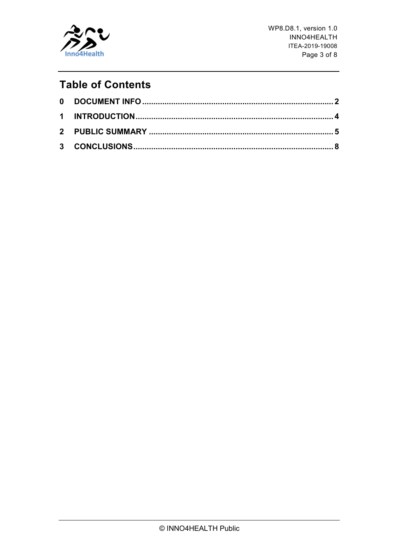

WP8.D8.1, version 1.0 INNO4HEALTH ITEA-2019-19008 Page 3 of 8

# **Table of Contents**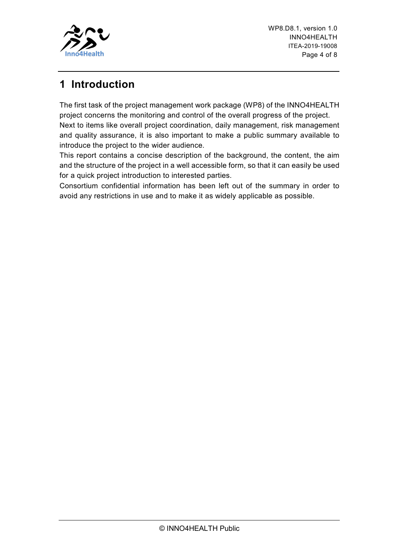

## <span id="page-3-0"></span>**1 Introduction**

The first task of the project management work package (WP8) of the INNO4HEALTH project concerns the monitoring and control of the overall progress of the project. Next to items like overall project coordination, daily management, risk management and quality assurance, it is also important to make a public summary available to introduce the project to the wider audience.

This report contains a concise description of the background, the content, the aim and the structure of the project in a well accessible form, so that it can easily be used for a quick project introduction to interested parties.

Consortium confidential information has been left out of the summary in order to avoid any restrictions in use and to make it as widely applicable as possible.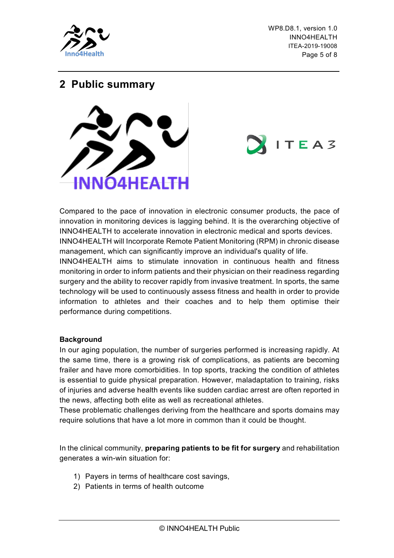

WP8.D8.1, version 1.0 INNO4HEALTH ITEA-2019-19008 Page 5 of 8

 $ITEAS$ 

### <span id="page-4-0"></span>**2 Public summary**



Compared to the pace of innovation in electronic consumer products, the pace of innovation in monitoring devices is lagging behind. It is the overarching objective of INNO4HEALTH to accelerate innovation in electronic medical and sports devices. INNO4HEALTH will Incorporate Remote Patient Monitoring (RPM) in chronic disease management, which can significantly improve an individual's quality of life.

INNO4HEALTH aims to stimulate innovation in continuous health and fitness monitoring in order to inform patients and their physician on their readiness regarding surgery and the ability to recover rapidly from invasive treatment. In sports, the same technology will be used to continuously assess fitness and health in order to provide information to athletes and their coaches and to help them optimise their performance during competitions.

#### **Background**

In our aging population, the number of surgeries performed is increasing rapidly. At the same time, there is a growing risk of complications, as patients are becoming frailer and have more comorbidities. In top sports, tracking the condition of athletes is essential to guide physical preparation. However, maladaptation to training, risks of injuries and adverse health events like sudden cardiac arrest are often reported in the news, affecting both elite as well as recreational athletes.

These problematic challenges deriving from the healthcare and sports domains may require solutions that have a lot more in common than it could be thought.

In the clinical community, **preparing patients to be fit for surgery** and rehabilitation generates a win-win situation for:

- 1) Payers in terms of healthcare cost savings,
- 2) Patients in terms of health outcome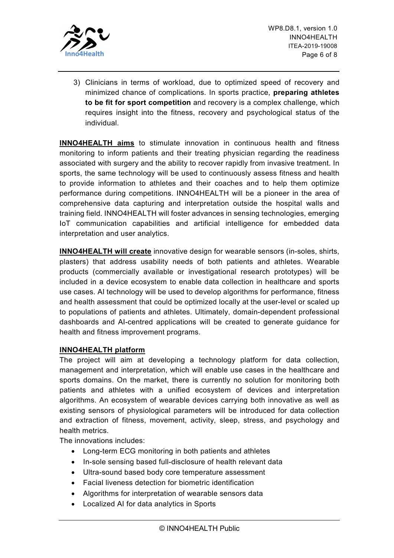

3) Clinicians in terms of workload, due to optimized speed of recovery and minimized chance of complications. In sports practice, **preparing athletes to be fit for sport competition** and recovery is a complex challenge, which requires insight into the fitness, recovery and psychological status of the individual.

**INNO4HEALTH aims** to stimulate innovation in continuous health and fitness monitoring to inform patients and their treating physician regarding the readiness associated with surgery and the ability to recover rapidly from invasive treatment. In sports, the same technology will be used to continuously assess fitness and health to provide information to athletes and their coaches and to help them optimize performance during competitions. INNO4HEALTH will be a pioneer in the area of comprehensive data capturing and interpretation outside the hospital walls and training field. INNO4HEALTH will foster advances in sensing technologies, emerging IoT communication capabilities and artificial intelligence for embedded data interpretation and user analytics.

**INNO4HEALTH will create** innovative design for wearable sensors (in-soles, shirts, plasters) that address usability needs of both patients and athletes. Wearable products (commercially available or investigational research prototypes) will be included in a device ecosystem to enable data collection in healthcare and sports use cases. AI technology will be used to develop algorithms for performance, fitness and health assessment that could be optimized locally at the user-level or scaled up to populations of patients and athletes. Ultimately, domain-dependent professional dashboards and AI-centred applications will be created to generate guidance for health and fitness improvement programs.

### **INNO4HEALTH platform**

The project will aim at developing a technology platform for data collection, management and interpretation, which will enable use cases in the healthcare and sports domains. On the market, there is currently no solution for monitoring both patients and athletes with a unified ecosystem of devices and interpretation algorithms. An ecosystem of wearable devices carrying both innovative as well as existing sensors of physiological parameters will be introduced for data collection and extraction of fitness, movement, activity, sleep, stress, and psychology and health metrics.

The innovations includes:

- Long-term ECG monitoring in both patients and athletes
- In-sole sensing based full-disclosure of health relevant data
- Ultra-sound based body core temperature assessment
- Facial liveness detection for biometric identification
- Algorithms for interpretation of wearable sensors data
- Localized AI for data analytics in Sports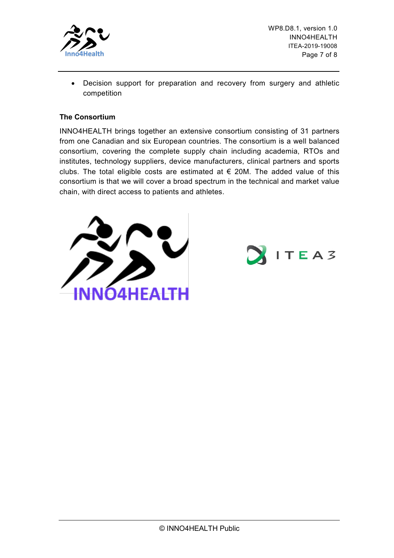

WP8.D8.1, version 1.0 INNO4HEALTH ITEA-2019-19008 Page 7 of 8

• Decision support for preparation and recovery from surgery and athletic competition

#### **The Consortium**

INNO4HEALTH brings together an extensive consortium consisting of 31 partners from one Canadian and six European countries. The consortium is a well balanced consortium, covering the complete supply chain including academia, RTOs and institutes, technology suppliers, device manufacturers, clinical partners and sports clubs. The total eligible costs are estimated at  $\epsilon$  20M. The added value of this consortium is that we will cover a broad spectrum in the technical and market value chain, with direct access to patients and athletes.